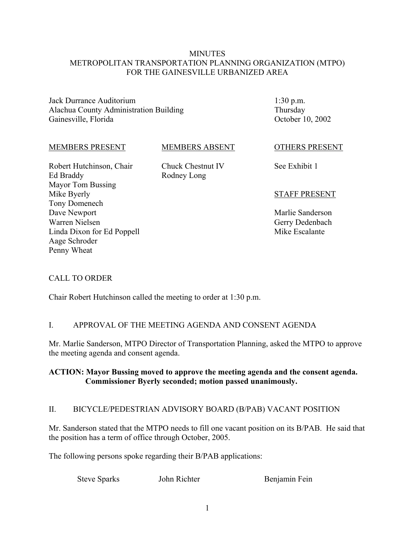### **MINUTES** METROPOLITAN TRANSPORTATION PLANNING ORGANIZATION (MTPO) FOR THE GAINESVILLE URBANIZED AREA

Jack Durrance Auditorium Alachua County Administration Building Gainesville, Florida

1:30 p.m. Thursday October 10, 2002

#### MEMBERS PRESENT

### MEMBERS ABSENT

Robert Hutchinson, Chair Ed Braddy Mayor Tom Bussing Mike Byerly Tony Domenech Dave Newport Warren Nielsen Linda Dixon for Ed Poppell Aage Schroder Penny Wheat

Chuck Chestnut IV Rodney Long

#### OTHERS PRESENT

See Exhibit 1

### STAFF PRESENT

Marlie Sanderson Gerry Dedenbach Mike Escalante

# CALL TO ORDER

Chair Robert Hutchinson called the meeting to order at 1:30 p.m.

# I. APPROVAL OF THE MEETING AGENDA AND CONSENT AGENDA

Mr. Marlie Sanderson, MTPO Director of Transportation Planning, asked the MTPO to approve the meeting agenda and consent agenda.

# **ACTION: Mayor Bussing moved to approve the meeting agenda and the consent agenda. Commissioner Byerly seconded; motion passed unanimously.**

# II. BICYCLE/PEDESTRIAN ADVISORY BOARD (B/PAB) VACANT POSITION

Mr. Sanderson stated that the MTPO needs to fill one vacant position on its B/PAB. He said that the position has a term of office through October, 2005.

The following persons spoke regarding their B/PAB applications:

Steve Sparks John Richter Benjamin Fein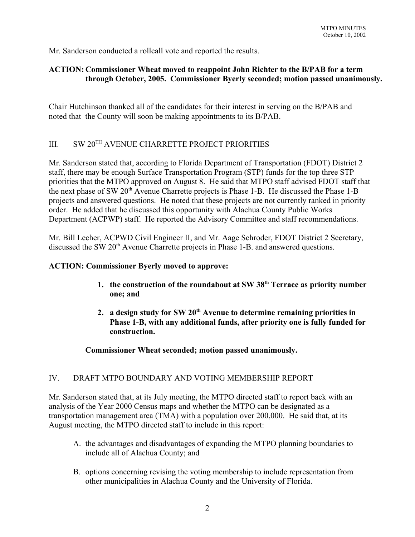Mr. Sanderson conducted a rollcall vote and reported the results.

### **ACTION: Commissioner Wheat moved to reappoint John Richter to the B/PAB for a term through October, 2005. Commissioner Byerly seconded; motion passed unanimously.**

Chair Hutchinson thanked all of the candidates for their interest in serving on the B/PAB and noted that the County will soon be making appointments to its B/PAB.

# III. SW 20TH AVENUE CHARRETTE PROJECT PRIORITIES

Mr. Sanderson stated that, according to Florida Department of Transportation (FDOT) District 2 staff, there may be enough Surface Transportation Program (STP) funds for the top three STP priorities that the MTPO approved on August 8. He said that MTPO staff advised FDOT staff that the next phase of SW  $20<sup>th</sup>$  Avenue Charrette projects is Phase 1-B. He discussed the Phase 1-B projects and answered questions. He noted that these projects are not currently ranked in priority order. He added that he discussed this opportunity with Alachua County Public Works Department (ACPWP) staff. He reported the Advisory Committee and staff recommendations.

Mr. Bill Lecher, ACPWD Civil Engineer II, and Mr. Aage Schroder, FDOT District 2 Secretary, discussed the SW 20<sup>th</sup> Avenue Charrette projects in Phase 1-B, and answered questions.

### **ACTION: Commissioner Byerly moved to approve:**

- **1. the construction of the roundabout at SW 38th Terrace as priority number one; and**
- **2. a design study for SW 20th Avenue to determine remaining priorities in Phase 1-B, with any additional funds, after priority one is fully funded for construction.**

# **Commissioner Wheat seconded; motion passed unanimously.**

# IV. DRAFT MTPO BOUNDARY AND VOTING MEMBERSHIP REPORT

Mr. Sanderson stated that, at its July meeting, the MTPO directed staff to report back with an analysis of the Year 2000 Census maps and whether the MTPO can be designated as a transportation management area (TMA) with a population over 200,000. He said that, at its August meeting, the MTPO directed staff to include in this report:

- A. the advantages and disadvantages of expanding the MTPO planning boundaries to include all of Alachua County; and
- B. options concerning revising the voting membership to include representation from other municipalities in Alachua County and the University of Florida.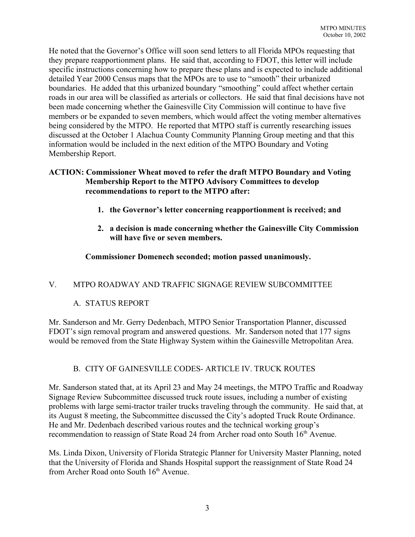He noted that the Governor's Office will soon send letters to all Florida MPOs requesting that they prepare reapportionment plans. He said that, according to FDOT, this letter will include specific instructions concerning how to prepare these plans and is expected to include additional detailed Year 2000 Census maps that the MPOs are to use to "smooth" their urbanized boundaries. He added that this urbanized boundary "smoothing" could affect whether certain roads in our area will be classified as arterials or collectors. He said that final decisions have not been made concerning whether the Gainesville City Commission will continue to have five members or be expanded to seven members, which would affect the voting member alternatives being considered by the MTPO. He reported that MTPO staff is currently researching issues discussed at the October 1 Alachua County Community Planning Group meeting and that this information would be included in the next edition of the MTPO Boundary and Voting Membership Report.

# **ACTION: Commissioner Wheat moved to refer the draft MTPO Boundary and Voting Membership Report to the MTPO Advisory Committees to develop recommendations to report to the MTPO after:**

- **1. the Governor's letter concerning reapportionment is received; and**
- **2. a decision is made concerning whether the Gainesville City Commission will have five or seven members.**

# **Commissioner Domenech seconded; motion passed unanimously.**

# V. MTPO ROADWAY AND TRAFFIC SIGNAGE REVIEW SUBCOMMITTEE

# A. STATUS REPORT

Mr. Sanderson and Mr. Gerry Dedenbach, MTPO Senior Transportation Planner, discussed FDOT's sign removal program and answered questions. Mr. Sanderson noted that 177 signs would be removed from the State Highway System within the Gainesville Metropolitan Area.

# B. CITY OF GAINESVILLE CODES- ARTICLE IV. TRUCK ROUTES

Mr. Sanderson stated that, at its April 23 and May 24 meetings, the MTPO Traffic and Roadway Signage Review Subcommittee discussed truck route issues, including a number of existing problems with large semi-tractor trailer trucks traveling through the community. He said that, at its August 8 meeting, the Subcommittee discussed the City's adopted Truck Route Ordinance. He and Mr. Dedenbach described various routes and the technical working group's recommendation to reassign of State Road 24 from Archer road onto South 16<sup>th</sup> Avenue.

Ms. Linda Dixon, University of Florida Strategic Planner for University Master Planning, noted that the University of Florida and Shands Hospital support the reassignment of State Road 24 from Archer Road onto South 16<sup>th</sup> Avenue.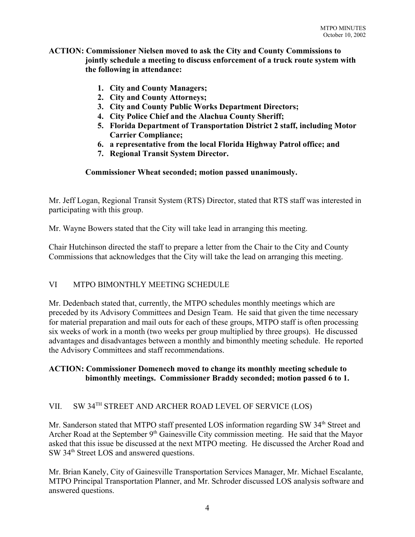#### **ACTION: Commissioner Nielsen moved to ask the City and County Commissions to jointly schedule a meeting to discuss enforcement of a truck route system with the following in attendance:**

- **1. City and County Managers;**
- **2. City and County Attorneys;**
- **3. City and County Public Works Department Directors;**
- **4. City Police Chief and the Alachua County Sheriff;**
- **5. Florida Department of Transportation District 2 staff, including Motor Carrier Compliance;**
- **6. a representative from the local Florida Highway Patrol office; and**
- **7. Regional Transit System Director.**

#### **Commissioner Wheat seconded; motion passed unanimously.**

Mr. Jeff Logan, Regional Transit System (RTS) Director, stated that RTS staff was interested in participating with this group.

Mr. Wayne Bowers stated that the City will take lead in arranging this meeting.

Chair Hutchinson directed the staff to prepare a letter from the Chair to the City and County Commissions that acknowledges that the City will take the lead on arranging this meeting.

# VI MTPO BIMONTHLY MEETING SCHEDULE

Mr. Dedenbach stated that, currently, the MTPO schedules monthly meetings which are preceded by its Advisory Committees and Design Team. He said that given the time necessary for material preparation and mail outs for each of these groups, MTPO staff is often processing six weeks of work in a month (two weeks per group multiplied by three groups). He discussed advantages and disadvantages between a monthly and bimonthly meeting schedule. He reported the Advisory Committees and staff recommendations.

### **ACTION: Commissioner Domenech moved to change its monthly meeting schedule to bimonthly meetings. Commissioner Braddy seconded; motion passed 6 to 1.**

# VII. SW 34TH STREET AND ARCHER ROAD LEVEL OF SERVICE (LOS)

Mr. Sanderson stated that MTPO staff presented LOS information regarding SW 34<sup>th</sup> Street and Archer Road at the September 9<sup>th</sup> Gainesville City commission meeting. He said that the Mayor asked that this issue be discussed at the next MTPO meeting. He discussed the Archer Road and SW 34<sup>th</sup> Street LOS and answered questions.

Mr. Brian Kanely, City of Gainesville Transportation Services Manager, Mr. Michael Escalante, MTPO Principal Transportation Planner, and Mr. Schroder discussed LOS analysis software and answered questions.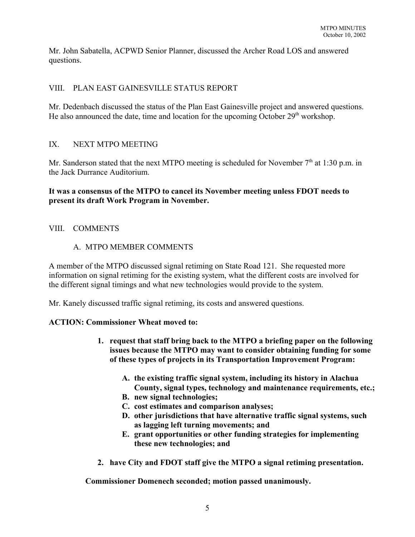Mr. John Sabatella, ACPWD Senior Planner, discussed the Archer Road LOS and answered questions.

# VIII. PLAN EAST GAINESVILLE STATUS REPORT

Mr. Dedenbach discussed the status of the Plan East Gainesville project and answered questions. He also announced the date, time and location for the upcoming October  $29<sup>th</sup>$  workshop.

# IX. NEXT MTPO MEETING

Mr. Sanderson stated that the next MTPO meeting is scheduled for November  $7<sup>th</sup>$  at 1:30 p.m. in the Jack Durrance Auditorium.

### **It was a consensus of the MTPO to cancel its November meeting unless FDOT needs to present its draft Work Program in November.**

### VIII. COMMENTS

### A. MTPO MEMBER COMMENTS

A member of the MTPO discussed signal retiming on State Road 121. She requested more information on signal retiming for the existing system, what the different costs are involved for the different signal timings and what new technologies would provide to the system.

Mr. Kanely discussed traffic signal retiming, its costs and answered questions.

#### **ACTION: Commissioner Wheat moved to:**

- **1. request that staff bring back to the MTPO a briefing paper on the following issues because the MTPO may want to consider obtaining funding for some of these types of projects in its Transportation Improvement Program:** 
	- **A. the existing traffic signal system, including its history in Alachua County, signal types, technology and maintenance requirements, etc.;**
	- **B. new signal technologies;**
	- **C. cost estimates and comparison analyses;**
	- **D. other jurisdictions that have alternative traffic signal systems, such as lagging left turning movements; and**
	- **E. grant opportunities or other funding strategies for implementing these new technologies; and**
- **2. have City and FDOT staff give the MTPO a signal retiming presentation.**

**Commissioner Domenech seconded; motion passed unanimously.**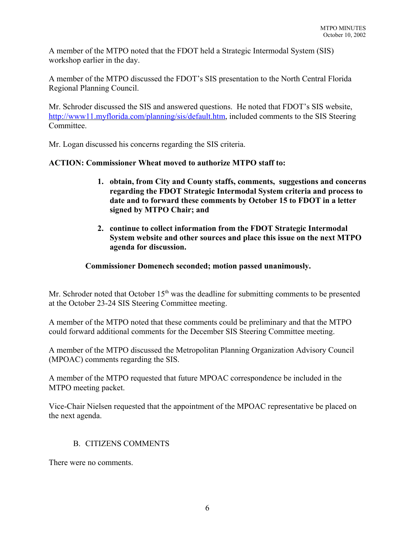A member of the MTPO noted that the FDOT held a Strategic Intermodal System (SIS) workshop earlier in the day.

A member of the MTPO discussed the FDOT's SIS presentation to the North Central Florida Regional Planning Council.

Mr. Schroder discussed the SIS and answered questions. He noted that FDOT's SIS website, http://www11.myflorida.com/planning/sis/default.htm, included comments to the SIS Steering **Committee** 

Mr. Logan discussed his concerns regarding the SIS criteria.

# **ACTION: Commissioner Wheat moved to authorize MTPO staff to:**

- **1. obtain, from City and County staffs, comments, suggestions and concerns regarding the FDOT Strategic Intermodal System criteria and process to date and to forward these comments by October 15 to FDOT in a letter signed by MTPO Chair; and**
- **2. continue to collect information from the FDOT Strategic Intermodal System website and other sources and place this issue on the next MTPO agenda for discussion.**

# **Commissioner Domenech seconded; motion passed unanimously.**

Mr. Schroder noted that October  $15<sup>th</sup>$  was the deadline for submitting comments to be presented at the October 23-24 SIS Steering Committee meeting.

A member of the MTPO noted that these comments could be preliminary and that the MTPO could forward additional comments for the December SIS Steering Committee meeting.

A member of the MTPO discussed the Metropolitan Planning Organization Advisory Council (MPOAC) comments regarding the SIS.

A member of the MTPO requested that future MPOAC correspondence be included in the MTPO meeting packet.

Vice-Chair Nielsen requested that the appointment of the MPOAC representative be placed on the next agenda.

# B. CITIZENS COMMENTS

There were no comments.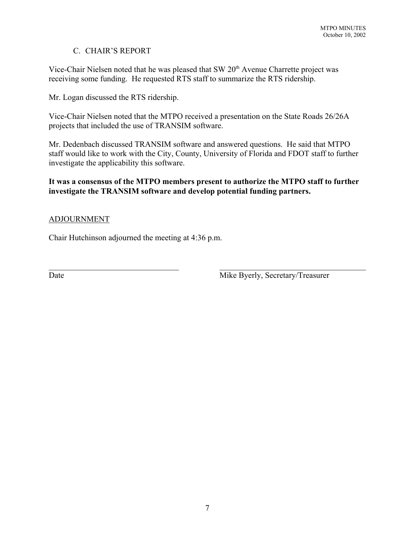# C. CHAIR'S REPORT

Vice-Chair Nielsen noted that he was pleased that SW  $20<sup>th</sup>$  Avenue Charrette project was receiving some funding. He requested RTS staff to summarize the RTS ridership.

Mr. Logan discussed the RTS ridership.

Vice-Chair Nielsen noted that the MTPO received a presentation on the State Roads 26/26A projects that included the use of TRANSIM software.

Mr. Dedenbach discussed TRANSIM software and answered questions. He said that MTPO staff would like to work with the City, County, University of Florida and FDOT staff to further investigate the applicability this software.

# **It was a consensus of the MTPO members present to authorize the MTPO staff to further investigate the TRANSIM software and develop potential funding partners.**

 $\mathcal{L}_\text{max}$  , and the contribution of the contribution of the contribution of the contribution of the contribution of the contribution of the contribution of the contribution of the contribution of the contribution of t

# ADJOURNMENT

Chair Hutchinson adjourned the meeting at 4:36 p.m.

Date Mike Byerly, Secretary/Treasurer